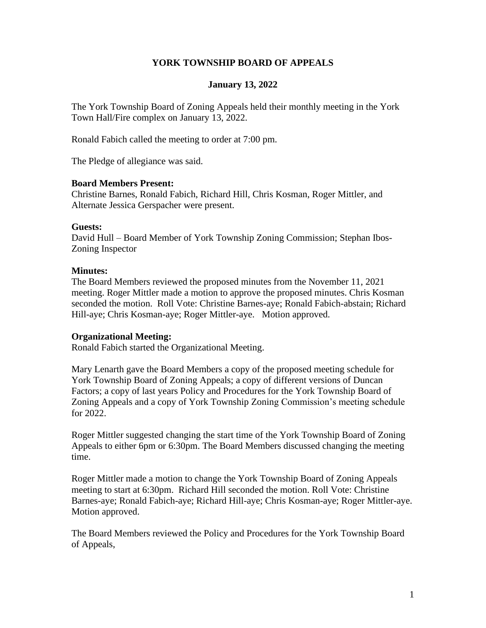## **YORK TOWNSHIP BOARD OF APPEALS**

### **January 13, 2022**

The York Township Board of Zoning Appeals held their monthly meeting in the York Town Hall/Fire complex on January 13, 2022.

Ronald Fabich called the meeting to order at 7:00 pm.

The Pledge of allegiance was said.

#### **Board Members Present:**

Christine Barnes, Ronald Fabich, Richard Hill, Chris Kosman, Roger Mittler, and Alternate Jessica Gerspacher were present.

#### **Guests:**

David Hull – Board Member of York Township Zoning Commission; Stephan Ibos-Zoning Inspector

#### **Minutes:**

The Board Members reviewed the proposed minutes from the November 11, 2021 meeting. Roger Mittler made a motion to approve the proposed minutes. Chris Kosman seconded the motion. Roll Vote: Christine Barnes-aye; Ronald Fabich-abstain; Richard Hill-aye; Chris Kosman-aye; Roger Mittler-aye. Motion approved.

#### **Organizational Meeting:**

Ronald Fabich started the Organizational Meeting.

Mary Lenarth gave the Board Members a copy of the proposed meeting schedule for York Township Board of Zoning Appeals; a copy of different versions of Duncan Factors; a copy of last years Policy and Procedures for the York Township Board of Zoning Appeals and a copy of York Township Zoning Commission's meeting schedule for 2022.

Roger Mittler suggested changing the start time of the York Township Board of Zoning Appeals to either 6pm or 6:30pm. The Board Members discussed changing the meeting time.

Roger Mittler made a motion to change the York Township Board of Zoning Appeals meeting to start at 6:30pm. Richard Hill seconded the motion. Roll Vote: Christine Barnes-aye; Ronald Fabich-aye; Richard Hill-aye; Chris Kosman-aye; Roger Mittler-aye. Motion approved.

The Board Members reviewed the Policy and Procedures for the York Township Board of Appeals,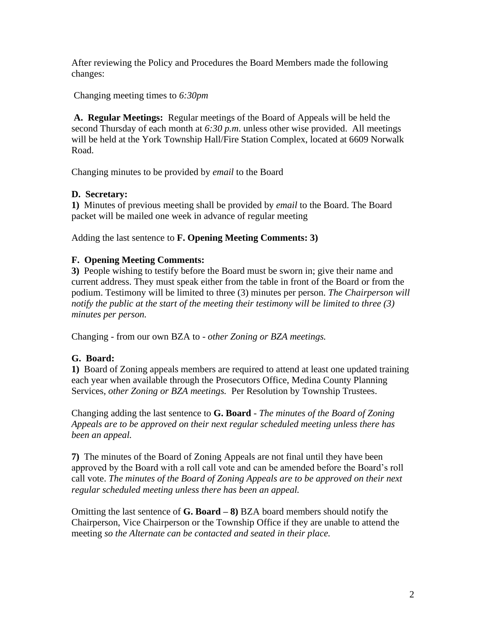After reviewing the Policy and Procedures the Board Members made the following changes:

Changing meeting times to *6:30pm*

**A. Regular Meetings:** Regular meetings of the Board of Appeals will be held the second Thursday of each month at *6:30 p.m*. unless other wise provided. All meetings will be held at the York Township Hall/Fire Station Complex, located at 6609 Norwalk Road.

Changing minutes to be provided by *email* to the Board

# **D. Secretary:**

**1)** Minutes of previous meeting shall be provided by *email* to the Board. The Board packet will be mailed one week in advance of regular meeting

Adding the last sentence to **F. Opening Meeting Comments: 3)**

## **F. Opening Meeting Comments:**

**3)** People wishing to testify before the Board must be sworn in; give their name and current address. They must speak either from the table in front of the Board or from the podium. Testimony will be limited to three (3) minutes per person. *The Chairperson will notify the public at the start of the meeting their testimony will be limited to three (3) minutes per person.*

Changing - from our own BZA to - *other Zoning or BZA meetings.*

# **G. Board:**

**1)** Board of Zoning appeals members are required to attend at least one updated training each year when available through the Prosecutors Office, Medina County Planning Services, *other Zoning or BZA meetings.* Per Resolution by Township Trustees.

Changing adding the last sentence to **G. Board** - *The minutes of the Board of Zoning Appeals are to be approved on their next regular scheduled meeting unless there has been an appeal.*

**7)** The minutes of the Board of Zoning Appeals are not final until they have been approved by the Board with a roll call vote and can be amended before the Board's roll call vote. *The minutes of the Board of Zoning Appeals are to be approved on their next regular scheduled meeting unless there has been an appeal.*

Omitting the last sentence of **G. Board – 8)** BZA board members should notify the Chairperson, Vice Chairperson or the Township Office if they are unable to attend the meeting *so the Alternate can be contacted and seated in their place.*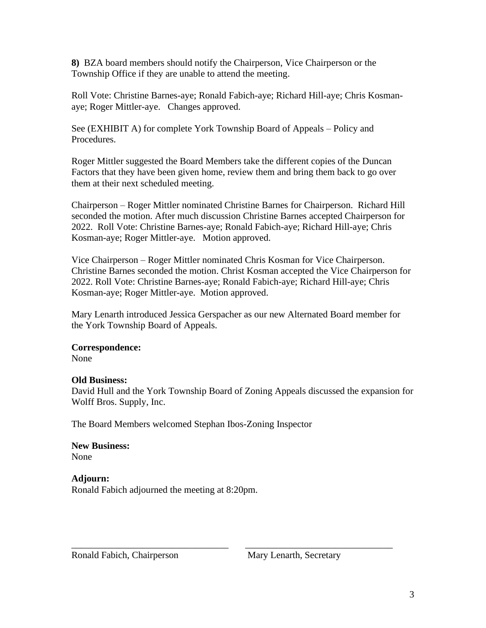**8)** BZA board members should notify the Chairperson, Vice Chairperson or the Township Office if they are unable to attend the meeting.

Roll Vote: Christine Barnes-aye; Ronald Fabich-aye; Richard Hill-aye; Chris Kosmanaye; Roger Mittler-aye. Changes approved.

See (EXHIBIT A) for complete York Township Board of Appeals – Policy and Procedures.

Roger Mittler suggested the Board Members take the different copies of the Duncan Factors that they have been given home, review them and bring them back to go over them at their next scheduled meeting.

Chairperson – Roger Mittler nominated Christine Barnes for Chairperson. Richard Hill seconded the motion. After much discussion Christine Barnes accepted Chairperson for 2022. Roll Vote: Christine Barnes-aye; Ronald Fabich-aye; Richard Hill-aye; Chris Kosman-aye; Roger Mittler-aye. Motion approved.

Vice Chairperson – Roger Mittler nominated Chris Kosman for Vice Chairperson. Christine Barnes seconded the motion. Christ Kosman accepted the Vice Chairperson for 2022. Roll Vote: Christine Barnes-aye; Ronald Fabich-aye; Richard Hill-aye; Chris Kosman-aye; Roger Mittler-aye. Motion approved.

Mary Lenarth introduced Jessica Gerspacher as our new Alternated Board member for the York Township Board of Appeals.

### **Correspondence:**

None

## **Old Business:**

David Hull and the York Township Board of Zoning Appeals discussed the expansion for Wolff Bros. Supply, Inc.

\_\_\_\_\_\_\_\_\_\_\_\_\_\_\_\_\_\_\_\_\_\_\_\_\_\_\_\_\_\_\_\_\_ \_\_\_\_\_\_\_\_\_\_\_\_\_\_\_\_\_\_\_\_\_\_\_\_\_\_\_\_\_\_\_

The Board Members welcomed Stephan Ibos-Zoning Inspector

**New Business:** None

**Adjourn:** Ronald Fabich adjourned the meeting at 8:20pm.

Ronald Fabich, Chairperson Mary Lenarth, Secretary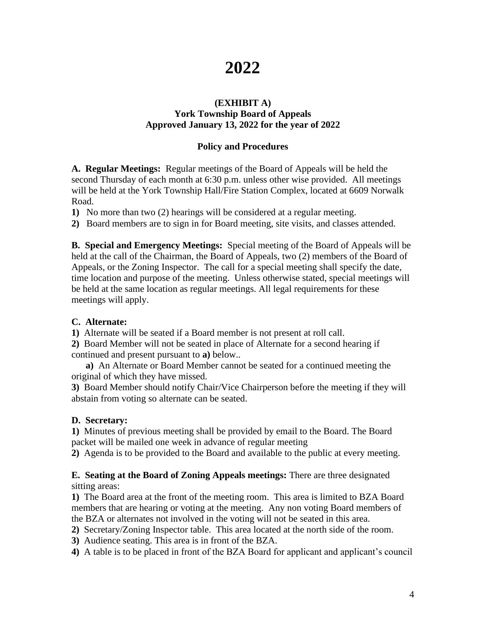# **2022**

#### **(EXHIBIT A) York Township Board of Appeals Approved January 13, 2022 for the year of 2022**

## **Policy and Procedures**

**A. Regular Meetings:** Regular meetings of the Board of Appeals will be held the second Thursday of each month at 6:30 p.m. unless other wise provided. All meetings will be held at the York Township Hall/Fire Station Complex, located at 6609 Norwalk Road.

**1)** No more than two (2) hearings will be considered at a regular meeting.

**2)** Board members are to sign in for Board meeting, site visits, and classes attended.

**B. Special and Emergency Meetings:** Special meeting of the Board of Appeals will be held at the call of the Chairman, the Board of Appeals, two (2) members of the Board of Appeals, or the Zoning Inspector. The call for a special meeting shall specify the date, time location and purpose of the meeting. Unless otherwise stated, special meetings will be held at the same location as regular meetings. All legal requirements for these meetings will apply.

## **C. Alternate:**

**1)** Alternate will be seated if a Board member is not present at roll call.

**2)** Board Member will not be seated in place of Alternate for a second hearing if continued and present pursuant to **a)** below..

 **a)** An Alternate or Board Member cannot be seated for a continued meeting the original of which they have missed.

**3)** Board Member should notify Chair/Vice Chairperson before the meeting if they will abstain from voting so alternate can be seated.

## **D. Secretary:**

**1)** Minutes of previous meeting shall be provided by email to the Board. The Board packet will be mailed one week in advance of regular meeting

**2)** Agenda is to be provided to the Board and available to the public at every meeting.

### **E. Seating at the Board of Zoning Appeals meetings:** There are three designated sitting areas:

**1)** The Board area at the front of the meeting room. This area is limited to BZA Board members that are hearing or voting at the meeting. Any non voting Board members of the BZA or alternates not involved in the voting will not be seated in this area.

**2)** Secretary/Zoning Inspector table. This area located at the north side of the room.

- **3)** Audience seating. This area is in front of the BZA.
- **4)** A table is to be placed in front of the BZA Board for applicant and applicant's council